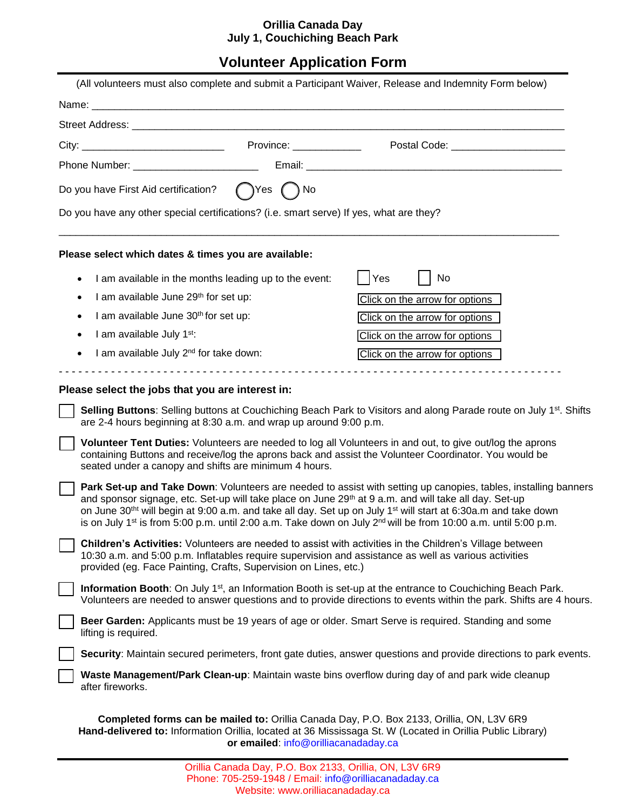## **Orillia Canada Day July 1, Couchiching Beach Park**

# **Volunteer Application Form**

|                                                                                                                                                                                |                                      | (All volunteers must also complete and submit a Participant Waiver, Release and Indemnity Form below)                                                                                                                                                                                                                                                                                                                                                                                                        |
|--------------------------------------------------------------------------------------------------------------------------------------------------------------------------------|--------------------------------------|--------------------------------------------------------------------------------------------------------------------------------------------------------------------------------------------------------------------------------------------------------------------------------------------------------------------------------------------------------------------------------------------------------------------------------------------------------------------------------------------------------------|
|                                                                                                                                                                                |                                      |                                                                                                                                                                                                                                                                                                                                                                                                                                                                                                              |
|                                                                                                                                                                                |                                      |                                                                                                                                                                                                                                                                                                                                                                                                                                                                                                              |
|                                                                                                                                                                                |                                      | Postal Code: _______________________                                                                                                                                                                                                                                                                                                                                                                                                                                                                         |
| Phone Number: __________________________                                                                                                                                       |                                      |                                                                                                                                                                                                                                                                                                                                                                                                                                                                                                              |
| Do you have First Aid certification?                                                                                                                                           | $\bigcap$ Yes $\bigcap$ No           |                                                                                                                                                                                                                                                                                                                                                                                                                                                                                                              |
| Do you have any other special certifications? (i.e. smart serve) If yes, what are they?                                                                                        |                                      |                                                                                                                                                                                                                                                                                                                                                                                                                                                                                                              |
| Please select which dates & times you are available:                                                                                                                           |                                      |                                                                                                                                                                                                                                                                                                                                                                                                                                                                                                              |
| I am available in the months leading up to the event:<br>$\bullet$                                                                                                             |                                      | Yes<br>No                                                                                                                                                                                                                                                                                                                                                                                                                                                                                                    |
| I am available June 29th for set up:<br>$\bullet$                                                                                                                              |                                      | Click on the arrow for options                                                                                                                                                                                                                                                                                                                                                                                                                                                                               |
| I am available June 30th for set up:<br>$\bullet$                                                                                                                              |                                      | Click on the arrow for options                                                                                                                                                                                                                                                                                                                                                                                                                                                                               |
| I am available July 1st:<br>$\bullet$                                                                                                                                          |                                      | Click on the arrow for options                                                                                                                                                                                                                                                                                                                                                                                                                                                                               |
| I am available July 2 <sup>nd</sup> for take down:                                                                                                                             |                                      | Click on the arrow for options                                                                                                                                                                                                                                                                                                                                                                                                                                                                               |
| Please select the jobs that you are interest in:<br>are 2-4 hours beginning at 8:30 a.m. and wrap up around 9:00 p.m.<br>seated under a canopy and shifts are minimum 4 hours. |                                      | Selling Buttons: Selling buttons at Couchiching Beach Park to Visitors and along Parade route on July 1 <sup>st</sup> . Shifts<br>Volunteer Tent Duties: Volunteers are needed to log all Volunteers in and out, to give out/log the aprons<br>containing Buttons and receive/log the aprons back and assist the Volunteer Coordinator. You would be                                                                                                                                                         |
|                                                                                                                                                                                |                                      | Park Set-up and Take Down: Volunteers are needed to assist with setting up canopies, tables, installing banners<br>and sponsor signage, etc. Set-up will take place on June 29th at 9 a.m. and will take all day. Set-up<br>on June 30 <sup>tht</sup> will begin at 9:00 a.m. and take all day. Set up on July 1 <sup>st</sup> will start at 6:30a.m and take down<br>is on July 1 <sup>st</sup> is from 5:00 p.m. until 2:00 a.m. Take down on July 2 <sup>nd</sup> will be from 10:00 a.m. until 5:00 p.m. |
| provided (eg. Face Painting, Crafts, Supervision on Lines, etc.)                                                                                                               |                                      | <b>Children's Activities:</b> Volunteers are needed to assist with activities in the Children's Village between<br>10:30 a.m. and 5:00 p.m. Inflatables require supervision and assistance as well as various activities                                                                                                                                                                                                                                                                                     |
|                                                                                                                                                                                |                                      | Information Booth: On July 1 <sup>st</sup> , an Information Booth is set-up at the entrance to Couchiching Beach Park.<br>Volunteers are needed to answer questions and to provide directions to events within the park. Shifts are 4 hours.                                                                                                                                                                                                                                                                 |
| lifting is required.                                                                                                                                                           |                                      | Beer Garden: Applicants must be 19 years of age or older. Smart Serve is required. Standing and some                                                                                                                                                                                                                                                                                                                                                                                                         |
|                                                                                                                                                                                |                                      | Security: Maintain secured perimeters, front gate duties, answer questions and provide directions to park events.                                                                                                                                                                                                                                                                                                                                                                                            |
| after fireworks.                                                                                                                                                               |                                      | Waste Management/Park Clean-up: Maintain waste bins overflow during day of and park wide cleanup                                                                                                                                                                                                                                                                                                                                                                                                             |
|                                                                                                                                                                                | or emailed: info@orilliacanadaday.ca | Completed forms can be mailed to: Orillia Canada Day, P.O. Box 2133, Orillia, ON, L3V 6R9<br>Hand-delivered to: Information Orillia, located at 36 Mississaga St. W (Located in Orillia Public Library)                                                                                                                                                                                                                                                                                                      |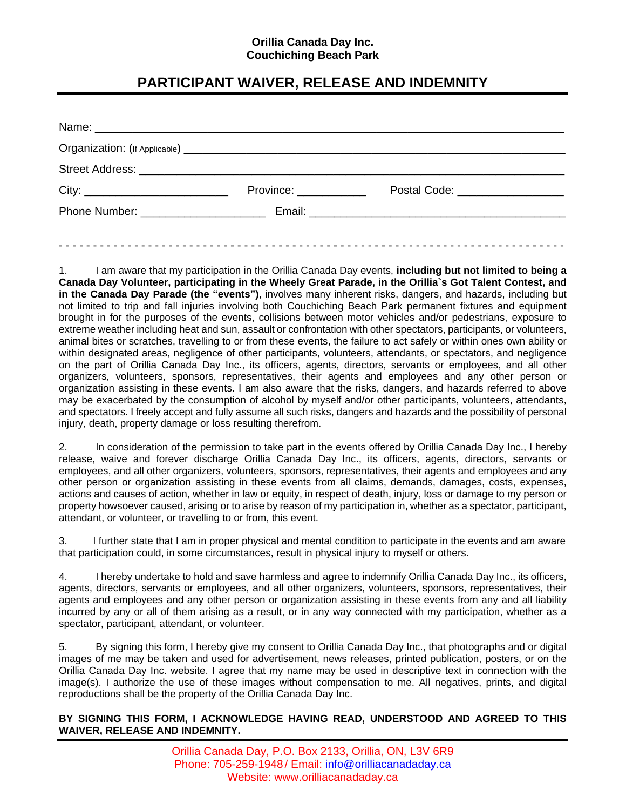### **Orillia Canada Day Inc. Couchiching Beach Park**

## **PARTICIPANT WAIVER, RELEASE AND INDEMNITY**

| Organization: (If Applicable) <b>contained a set of the set of the set of the set of the set of the set of the set of the set of the set of the set of the set of the set of the set of the set of the set of the set of the set</b> |                                  |                                |
|--------------------------------------------------------------------------------------------------------------------------------------------------------------------------------------------------------------------------------------|----------------------------------|--------------------------------|
|                                                                                                                                                                                                                                      |                                  |                                |
|                                                                                                                                                                                                                                      | Province: <u>_______________</u> | Postal Code: _________________ |
| Phone Number: The Contract of the Contract of the Contract of the Contract of the Contract of the Contract of the Contract of the Contract of the Contract of the Contract of the Contract of the Contract of the Contract of        |                                  |                                |

1. I am aware that my participation in the Orillia Canada Day events, **including but not limited to being a Canada Day Volunteer, participating in the Wheely Great Parade, in the Orillia`s Got Talent Contest, and in the Canada Day Parade (the "events")**, involves many inherent risks, dangers, and hazards, including but not limited to trip and fall injuries involving both Couchiching Beach Park permanent fixtures and equipment brought in for the purposes of the events, collisions between motor vehicles and/or pedestrians, exposure to extreme weather including heat and sun, assault or confrontation with other spectators, participants, or volunteers, animal bites or scratches, travelling to or from these events, the failure to act safely or within ones own ability or within designated areas, negligence of other participants, volunteers, attendants, or spectators, and negligence on the part of Orillia Canada Day Inc., its officers, agents, directors, servants or employees, and all other organizers, volunteers, sponsors, representatives, their agents and employees and any other person or organization assisting in these events. I am also aware that the risks, dangers, and hazards referred to above may be exacerbated by the consumption of alcohol by myself and/or other participants, volunteers, attendants, and spectators. I freely accept and fully assume all such risks, dangers and hazards and the possibility of personal injury, death, property damage or loss resulting therefrom.

2. In consideration of the permission to take part in the events offered by Orillia Canada Day Inc., I hereby release, waive and forever discharge Orillia Canada Day Inc., its officers, agents, directors, servants or employees, and all other organizers, volunteers, sponsors, representatives, their agents and employees and any other person or organization assisting in these events from all claims, demands, damages, costs, expenses, actions and causes of action, whether in law or equity, in respect of death, injury, loss or damage to my person or property howsoever caused, arising or to arise by reason of my participation in, whether as a spectator, participant, attendant, or volunteer, or travelling to or from, this event.

3. I further state that I am in proper physical and mental condition to participate in the events and am aware that participation could, in some circumstances, result in physical injury to myself or others.

4. I hereby undertake to hold and save harmless and agree to indemnify Orillia Canada Day Inc., its officers, agents, directors, servants or employees, and all other organizers, volunteers, sponsors, representatives, their agents and employees and any other person or organization assisting in these events from any and all liability incurred by any or all of them arising as a result, or in any way connected with my participation, whether as a spectator, participant, attendant, or volunteer.

5. By signing this form, I hereby give my consent to Orillia Canada Day Inc., that photographs and or digital images of me may be taken and used for advertisement, news releases, printed publication, posters, or on the Orillia Canada Day Inc. website. I agree that my name may be used in descriptive text in connection with the image(s). I authorize the use of these images without compensation to me. All negatives, prints, and digital reproductions shall be the property of the Orillia Canada Day Inc.

#### **BY SIGNING THIS FORM, I ACKNOWLEDGE HAVING READ, UNDERSTOOD AND AGREED TO THIS WAIVER, RELEASE AND INDEMNITY.**